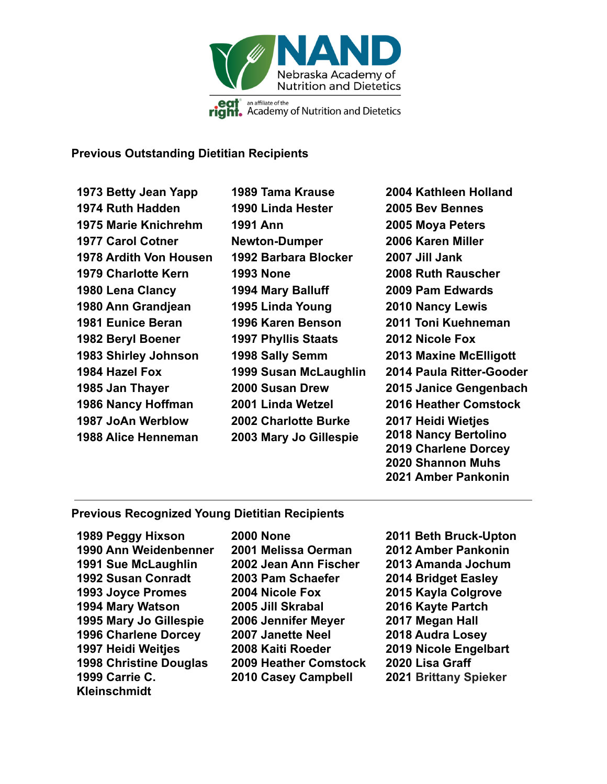

## **Previous Outstanding Dietitian Recipients**

**1973 Betty Jean Yapp 1974 Ruth Hadden 1975 Marie Knichrehm 1977 Carol Cotner 1978 Ardith Von Housen 1979 Charlotte Kern 1980 Lena Clancy 1980 Ann Grandjean 1981 Eunice Beran 1982 Beryl Boener 1983 Shirley Johnson 1984 Hazel Fox 1985 Jan Thayer 1986 Nancy Hoffman 1987 JoAn Werblow 1988 Alice Henneman**

**1989 Tama Krause 1990 Linda Hester 1991 Ann Newton-Dumper 1992 Barbara Blocker 1993 None 1994 Mary Balluff 1995 Linda Young 1996 Karen Benson 1997 Phyllis Staats 1998 Sally Semm 1999 Susan McLaughlin 2000 Susan Drew 2001 Linda Wetzel 2002 Charlotte Burke 2003 Mary Jo Gillespie**

**2004 Kathleen Holland 2005 Bev Bennes 2005 Moya Peters 2006 Karen Miller 2007 Jill Jank 2008 Ruth Rauscher 2009 Pam Edwards 2010 Nancy Lewis 2011 Toni Kuehneman 2012 Nicole Fox 2013 Maxine McElligott 2014 Paula Ritter-Gooder 2015 Janice Gengenbach 2016 Heather Comstock 2017 Heidi Wietjes 2018 Nancy Bertolino 2019 Charlene Dorcey 2020 Shannon Muhs 2021 Amber Pankonin**

## **Previous Recognized Young Dietitian Recipients**

**1989 Peggy Hixson 1990 Ann Weidenbenner 1991 Sue McLaughlin 1992 Susan Conradt 1993 Joyce Promes 1994 Mary Watson 1995 Mary Jo Gillespie 1996 Charlene Dorcey 1997 Heidi Weitjes 1998 Christine Douglas 1999 Carrie C. Kleinschmidt**

**2000 None 2001 Melissa Oerman 2002 Jean Ann Fischer 2003 Pam Schaefer 2004 Nicole Fox 2005 Jill Skrabal 2006 Jennifer Meyer 2007 Janette Neel 2008 Kaiti Roeder 2009 Heather Comstock 2010 Casey Campbell**

**2011 Beth Bruck-Upton 2012 Amber Pankonin 2013 Amanda Jochum 2014 Bridget Easley 2015 Kayla Colgrove 2016 Kayte Partch 2017 Megan Hall 2018 Audra Losey 2019 Nicole Engelbart 2020 Lisa Graff 2021 Brittany Spieker**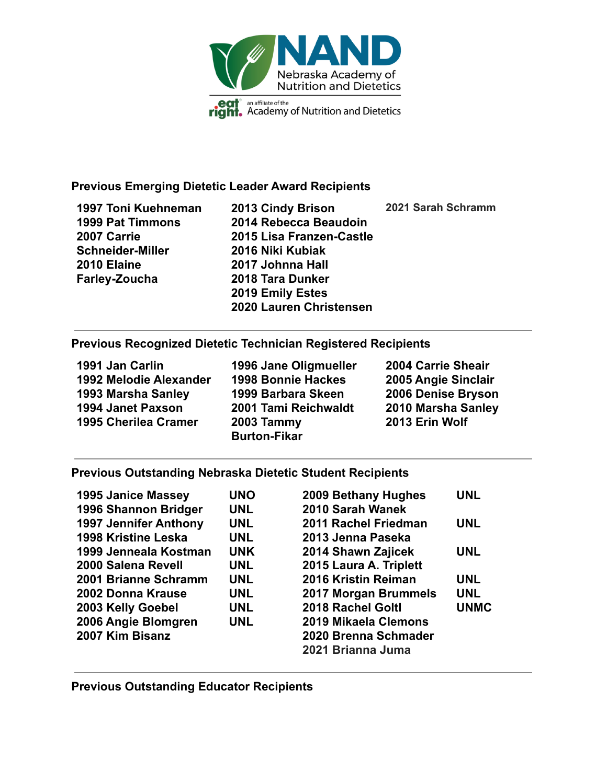

## **Previous Emerging Dietetic Leader Award Recipients**

**1997 Toni Kuehneman 1999 Pat Timmons 2007 Carrie Schneider-Miller 2010 Elaine Farley-Zoucha 2013 Cindy Brison 2014 Rebecca Beaudoin 2015 Lisa Franzen-Castle 2016 Niki Kubiak 2017 Johnna Hall 2018 Tara Dunker 2019 Emily Estes 2020 Lauren Christensen 2021 Sarah Schramm**

## **Previous Recognized Dietetic Technician Registered Recipients**

**1991 Jan Carlin 1992 Melodie Alexander 1993 Marsha Sanley 1994 Janet Paxson 1995 Cherilea Cramer**

**1996 Jane Oligmueller 1998 Bonnie Hackes 1999 Barbara Skeen 2001 Tami Reichwaldt 2003 Tammy Burton-Fikar**

**2004 Carrie Sheair 2005 Angie Sinclair 2006 Denise Bryson 2010 Marsha Sanley 2013 Erin Wolf**

## **Previous Outstanding Nebraska Dietetic Student Recipients**

| <b>1995 Janice Massey</b>    | <b>UNO</b> | 2009 Bethany Hughes    | <b>UNL</b>  |
|------------------------------|------------|------------------------|-------------|
| 1996 Shannon Bridger         | <b>UNL</b> | 2010 Sarah Wanek       |             |
| <b>1997 Jennifer Anthony</b> | <b>UNL</b> | 2011 Rachel Friedman   | <b>UNL</b>  |
| 1998 Kristine Leska          | <b>UNL</b> | 2013 Jenna Paseka      |             |
| 1999 Jenneala Kostman        | <b>UNK</b> | 2014 Shawn Zajicek     | <b>UNL</b>  |
| 2000 Salena Revell           | <b>UNL</b> | 2015 Laura A. Triplett |             |
| 2001 Brianne Schramm         | <b>UNL</b> | 2016 Kristin Reiman    | <b>UNL</b>  |
| 2002 Donna Krause            | <b>UNL</b> | 2017 Morgan Brummels   | <b>UNL</b>  |
| 2003 Kelly Goebel            | <b>UNL</b> | 2018 Rachel Goltl      | <b>UNMC</b> |
| 2006 Angie Blomgren          | <b>UNL</b> | 2019 Mikaela Clemons   |             |
| 2007 Kim Bisanz              |            | 2020 Brenna Schmader   |             |
|                              |            | 2021 Brianna Juma      |             |

**Previous Outstanding Educator Recipients**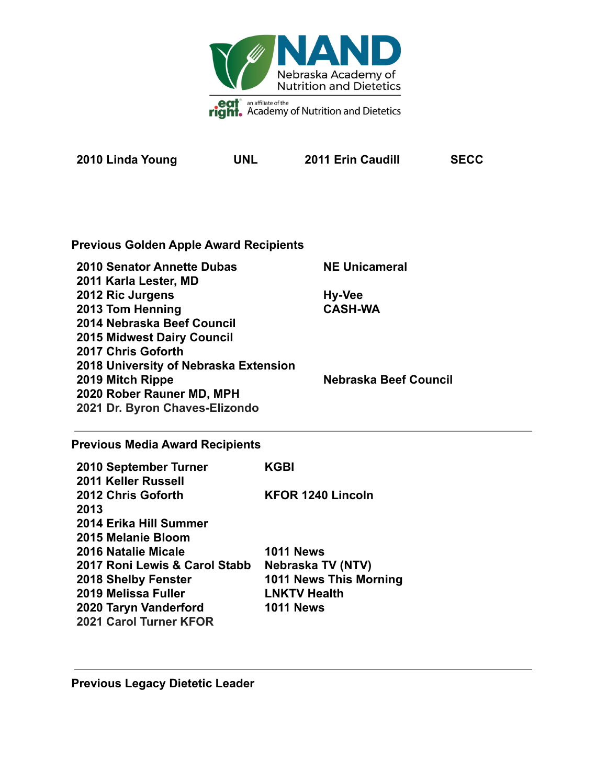

**2010 Linda Young UNL 2011 Erin Caudill SECC**

**Previous Golden Apple Award Recipients**

| <b>2010 Senator Annette Dubas</b>     | <b>NE Unicameral</b>  |
|---------------------------------------|-----------------------|
| 2011 Karla Lester, MD                 |                       |
| 2012 Ric Jurgens                      | Hy-Vee                |
| 2013 Tom Henning                      | <b>CASH-WA</b>        |
| 2014 Nebraska Beef Council            |                       |
| <b>2015 Midwest Dairy Council</b>     |                       |
| 2017 Chris Goforth                    |                       |
| 2018 University of Nebraska Extension |                       |
| 2019 Mitch Rippe                      | Nebraska Beef Council |
| 2020 Rober Rauner MD, MPH             |                       |
| 2021 Dr. Byron Chaves-Elizondo        |                       |

# **Previous Media Award Recipients**

| 2010 September Turner         | KGBI                     |
|-------------------------------|--------------------------|
| <b>2011 Keller Russell</b>    |                          |
| 2012 Chris Goforth            | <b>KFOR 1240 Lincoln</b> |
| 2013                          |                          |
| 2014 Erika Hill Summer        |                          |
| 2015 Melanie Bloom            |                          |
| 2016 Natalie Micale           | <b>1011 News</b>         |
| 2017 Roni Lewis & Carol Stabb | Nebraska TV (NTV)        |
| <b>2018 Shelby Fenster</b>    | 1011 News This Morning   |
| 2019 Melissa Fuller           | <b>LNKTV Health</b>      |
| 2020 Taryn Vanderford         | <b>1011 News</b>         |
| 2021 Carol Turner KFOR        |                          |

**Previous Legacy Dietetic Leader**